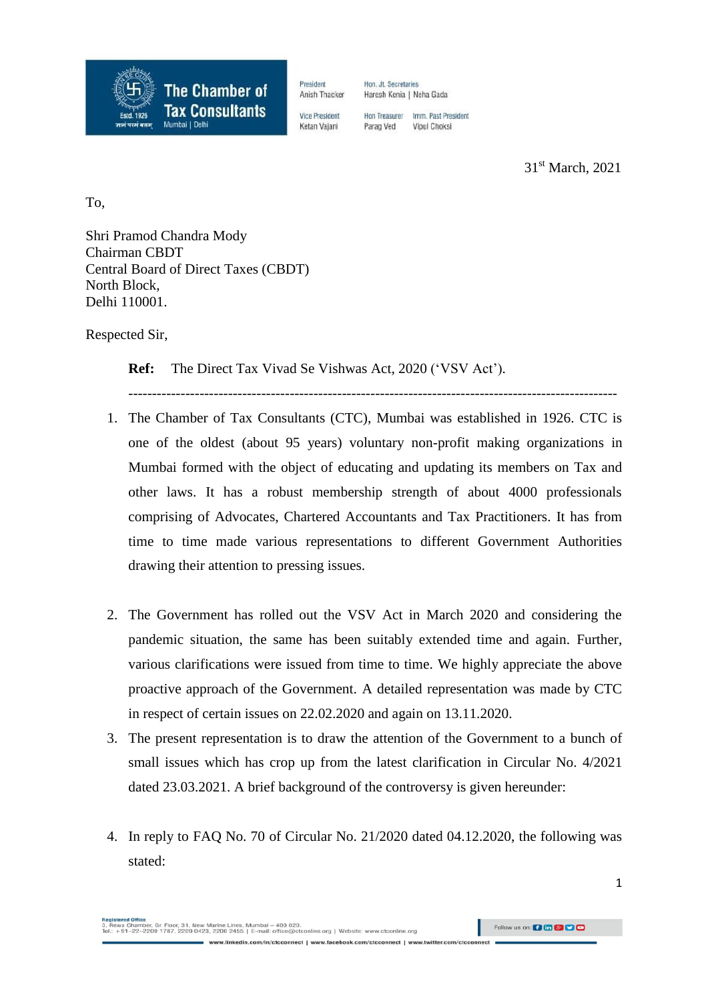

President Hon, Jt. Secretaries Anish Thacker Haresh Kenia | Neha Gada

Vice President

Hon Treasurer Imm Past President Parag Ved Vipul Choksi

 31 31<sup>st</sup> March, 2021

To,

Shri Pramod Chandra Mody Chairman CBDT Central Board of Direct Taxes (CBDT) North Block, Delhi 110001.

Respected Sir,

**Ref:** The Direct Tax Vivad Se Vishwas Act, 2020 ('VSV Act').

1. The Chamber of Tax Consultants (CTC), Mumbai was established in 1926. CTC is one of the oldest (about 95 years) voluntary non-profit making organizations in Mumbai formed with the object of educating and updating its members on Tax and other laws. It has a robust membership strength of about 4000 professionals comprising of Advocates, Chartered Accountants and Tax Practitioners. It has from time to time made various representations to different Government Authorities drawing their attention to pressing issues.

-------------------------------------------------------------------------------------------------------

- 2. The Government has rolled out the VSV Act in March 2020 and considering the pandemic situation, the same has been suitably extended time and again. Further, various clarifications were issued from time to time. We highly appreciate the above proactive approach of the Government. A detailed representation was made by CTC in respect of certain issues on 22.02.2020 and again on 13.11.2020.
- 3. The present representation is to draw the attention of the Government to a bunch of small issues which has crop up from the latest clarification in Circular No. 4/2021 dated 23.03.2021. A brief background of the controversy is given hereunder:
- 4. In reply to FAQ No. 70 of Circular No. 21/2020 dated 04.12.2020, the following was stated: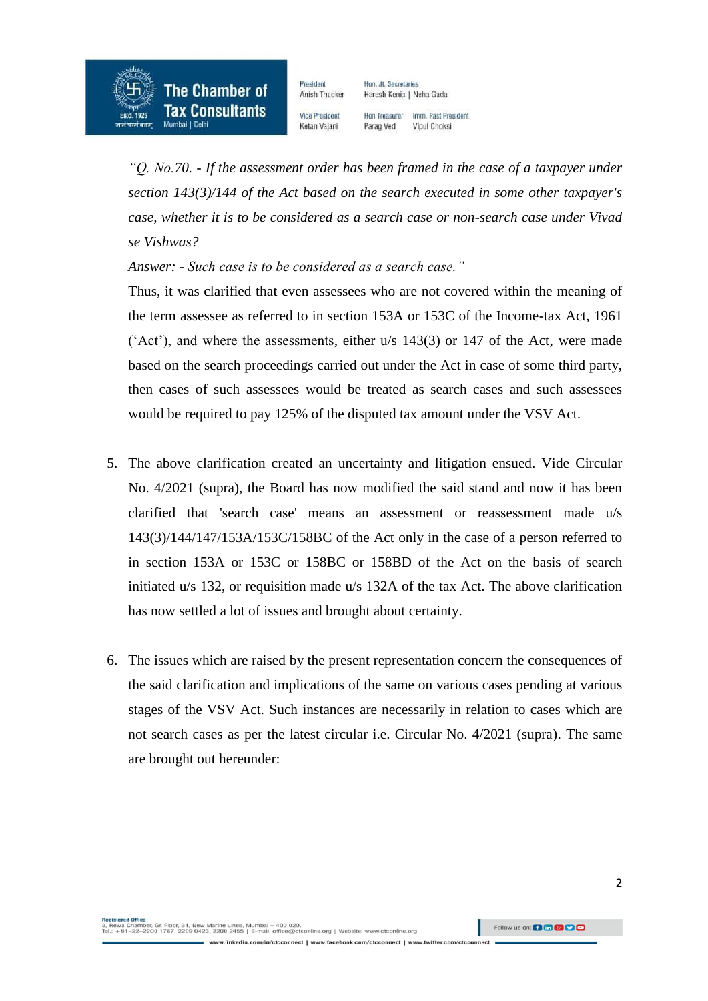

President Anish Thacker Hon, Jt. Secretaries Haresh Kenia | Neha Gada

Vice President Ketan Vajani

Hon Treasurer Imm Past President Parag Ved Vipul Choksi

*"Q. No.70. - If the assessment order has been framed in the case of a taxpayer under section 143(3)/144 of the Act based on the search executed in some other taxpayer's case, whether it is to be considered as a search case or non-search case under Vivad se Vishwas?*

*Answer: - Such case is to be considered as a search case."*

Thus, it was clarified that even assessees who are not covered within the meaning of the term assessee as referred to in section 153A or 153C of the Income-tax Act, 1961 ('Act'), and where the assessments, either  $u/s$  143(3) or 147 of the Act, were made based on the search proceedings carried out under the Act in case of some third party, then cases of such assessees would be treated as search cases and such assessees would be required to pay 125% of the disputed tax amount under the VSV Act.

- 5. The above clarification created an uncertainty and litigation ensued. Vide Circular No. 4/2021 (supra), the Board has now modified the said stand and now it has been clarified that 'search case' means an assessment or reassessment made u/s 143(3)/144/147/153A/153C/158BC of the Act only in the case of a person referred to in section 153A or 153C or 158BC or 158BD of the Act on the basis of search initiated u/s 132, or requisition made u/s 132A of the tax Act. The above clarification has now settled a lot of issues and brought about certainty.
- 6. The issues which are raised by the present representation concern the consequences of the said clarification and implications of the same on various cases pending at various stages of the VSV Act. Such instances are necessarily in relation to cases which are not search cases as per the latest circular i.e. Circular No. 4/2021 (supra). The same are brought out hereunder: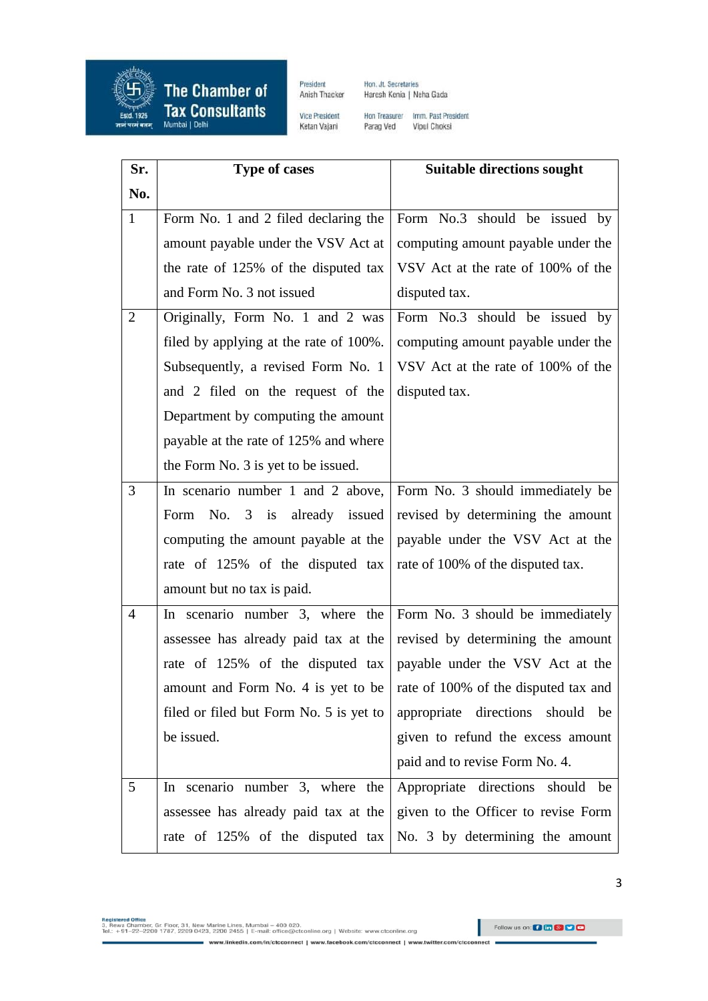

**The Chamber of Tax Consultants** 

President Anish Thacker

Hon. Jt. Secretaries Haresh Kenia | Neha Gada

Vice President Ketan Vajani

Hon Treasurer Imm. Past President<br>Parag Ved Vipul Choksi

| Sr.            | <b>Type of cases</b>                            | <b>Suitable directions sought</b>    |
|----------------|-------------------------------------------------|--------------------------------------|
| No.            |                                                 |                                      |
| $\mathbf{1}$   | Form No. 1 and 2 filed declaring the            | Form No.3 should be issued by        |
|                | amount payable under the VSV Act at             | computing amount payable under the   |
|                | the rate of 125% of the disputed tax            | VSV Act at the rate of 100% of the   |
|                | and Form No. 3 not issued                       | disputed tax.                        |
| 2              | Originally, Form No. 1 and 2 was                | Form No.3 should be issued by        |
|                | filed by applying at the rate of 100%.          | computing amount payable under the   |
|                | Subsequently, a revised Form No. 1              | VSV Act at the rate of 100% of the   |
|                | and 2 filed on the request of the               | disputed tax.                        |
|                | Department by computing the amount              |                                      |
|                | payable at the rate of 125% and where           |                                      |
|                | the Form No. 3 is yet to be issued.             |                                      |
| 3              | In scenario number 1 and 2 above,               | Form No. 3 should immediately be     |
|                | No. 3 is already issued<br>Form                 | revised by determining the amount    |
|                | computing the amount payable at the             | payable under the VSV Act at the     |
|                | rate of 125% of the disputed tax                | rate of 100% of the disputed tax.    |
|                | amount but no tax is paid.                      |                                      |
| $\overline{4}$ | In scenario number 3, where the                 | Form No. 3 should be immediately     |
|                | assessee has already paid tax at the            | revised by determining the amount    |
|                | rate of 125% of the disputed tax                | payable under the VSV Act at the     |
|                | amount and Form No. 4 is yet to be              | rate of 100% of the disputed tax and |
|                | filed or filed but Form No. 5 is yet to $\vert$ | appropriate directions should be     |
|                | be issued.                                      | given to refund the excess amount    |
|                |                                                 | paid and to revise Form No. 4.       |
| 5              | In scenario number 3, where the                 | Appropriate directions should be     |
|                | assessee has already paid tax at the            | given to the Officer to revise Form  |
|                | rate of 125% of the disputed tax                | No. 3 by determining the amount      |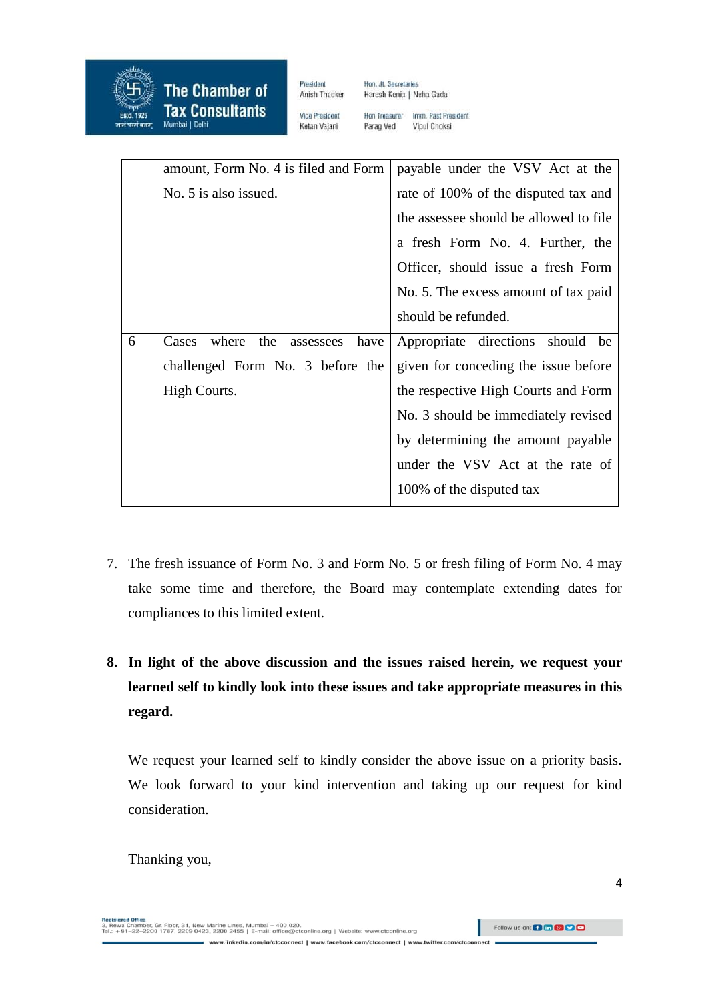

**The Chamber of Tax Consultants** Mumbai | Delhi

President Anish Thacker Hon. Jt. Secretaries Haresh Kenia | Neha Gada

**Vice President** Ketan Vajani Hon Treasurer Imm, Past President Parag Ved Vipul Choksi

|   | amount, Form No. 4 is filed and Form       | payable under the VSV Act at the        |
|---|--------------------------------------------|-----------------------------------------|
|   | No. 5 is also issued.                      | rate of 100% of the disputed tax and    |
|   |                                            | the assessee should be allowed to file. |
|   |                                            | a fresh Form No. 4. Further, the        |
|   |                                            | Officer, should issue a fresh Form      |
|   |                                            | No. 5. The excess amount of tax paid    |
|   |                                            | should be refunded.                     |
| 6 | where<br>the<br>Cases<br>have<br>assessees | Appropriate directions<br>should be     |
|   | challenged Form No. 3 before the           | given for conceding the issue before    |
|   |                                            |                                         |
|   | High Courts.                               | the respective High Courts and Form     |
|   |                                            | No. 3 should be immediately revised     |
|   |                                            | by determining the amount payable       |
|   |                                            | under the VSV Act at the rate of        |
|   |                                            | 100% of the disputed tax                |

- 7. The fresh issuance of Form No. 3 and Form No. 5 or fresh filing of Form No. 4 may take some time and therefore, the Board may contemplate extending dates for compliances to this limited extent.
- **8. In light of the above discussion and the issues raised herein, we request your learned self to kindly look into these issues and take appropriate measures in this regard.**

We request your learned self to kindly consider the above issue on a priority basis. We look forward to your kind intervention and taking up our request for kind consideration.

Thanking you,

negaseree omee<br>3, Rewa Chamber, Gr. Floor, 31, New Marine Lines, Mumbai – 400 020.<br>Tel.: +91–22–2200 1787, 2209 0423, 2200 2455 | E-mail: office@ctconline.org | Website: www.ctconline.org Follow us on: 0 6 8 9 9 9 www.linkedin.com/in/ctcconnect | www.facebook.com/ctcconnect | www.twitter.com m/ctcc